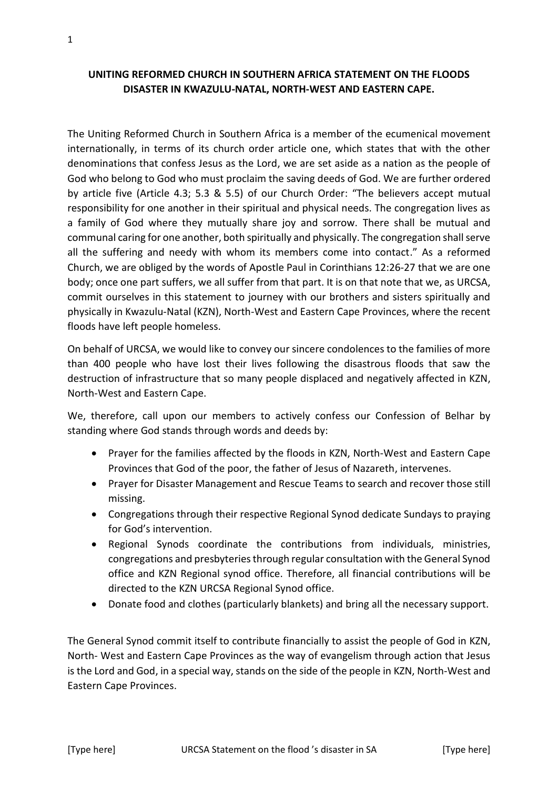The Uniting Reformed Church in Southern Africa is a member of the ecumenical movement internationally, in terms of its church order article one, which states that with the other denominations that confess Jesus as the Lord, we are set aside as a nation as the people of God who belong to God who must proclaim the saving deeds of God. We are further ordered by article five (Article 4.3; 5.3 & 5.5) of our Church Order: "The believers accept mutual responsibility for one another in their spiritual and physical needs. The congregation lives as a family of God where they mutually share joy and sorrow. There shall be mutual and communal caring for one another, both spiritually and physically. The congregation shall serve all the suffering and needy with whom its members come into contact." As a reformed Church, we are obliged by the words of Apostle Paul in Corinthians 12:26-27 that we are one body; once one part suffers, we all suffer from that part. It is on that note that we, as URCSA, commit ourselves in this statement to journey with our brothers and sisters spiritually and physically in Kwazulu-Natal (KZN), North-West and Eastern Cape Provinces, where the recent floods have left people homeless.

On behalf of URCSA, we would like to convey our sincere condolences to the families of more than 400 people who have lost their lives following the disastrous floods that saw the destruction of infrastructure that so many people displaced and negatively affected in KZN, North-West and Eastern Cape.

We, therefore, call upon our members to actively confess our Confession of Belhar by standing where God stands through words and deeds by:

- Prayer for the families affected by the floods in KZN, North-West and Eastern Cape Provinces that God of the poor, the father of Jesus of Nazareth, intervenes.
- Prayer for Disaster Management and Rescue Teams to search and recover those still missing.
- Congregations through their respective Regional Synod dedicate Sundays to praying for God's intervention.
- Regional Synods coordinate the contributions from individuals, ministries, congregations and presbyteriesthrough regular consultation with the General Synod office and KZN Regional synod office. Therefore, all financial contributions will be directed to the KZN URCSA Regional Synod office.
- Donate food and clothes (particularly blankets) and bring all the necessary support.

The General Synod commit itself to contribute financially to assist the people of God in KZN, North- West and Eastern Cape Provinces as the way of evangelism through action that Jesus is the Lord and God, in a special way, stands on the side of the people in KZN, North-West and Eastern Cape Provinces.